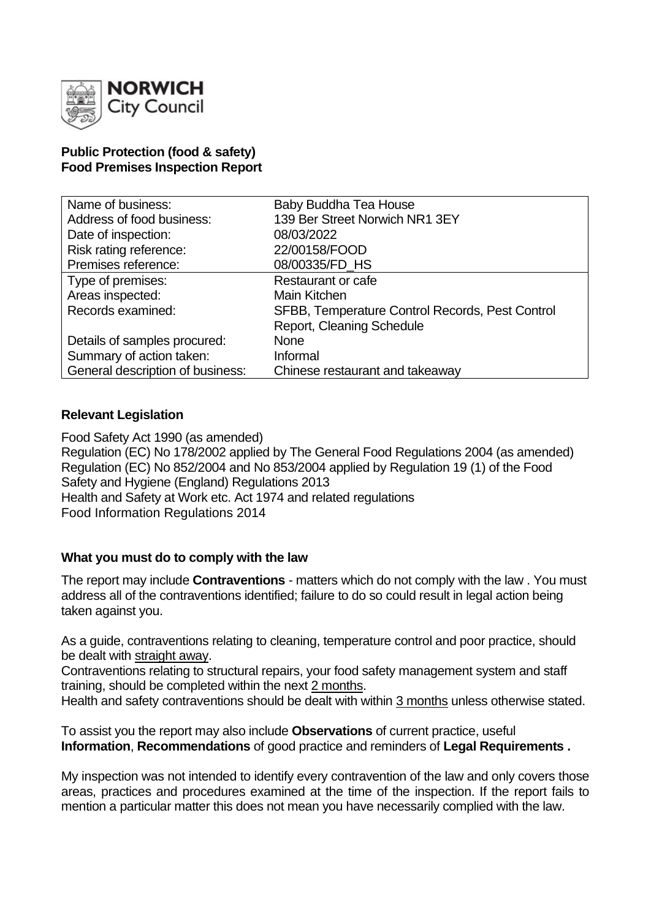

#### **Public Protection (food & safety) Food Premises Inspection Report**

| Name of business:                | Baby Buddha Tea House                           |
|----------------------------------|-------------------------------------------------|
| Address of food business:        | 139 Ber Street Norwich NR1 3EY                  |
| Date of inspection:              | 08/03/2022                                      |
| Risk rating reference:           | 22/00158/FOOD                                   |
| Premises reference:              | 08/00335/FD_HS                                  |
| Type of premises:                | <b>Restaurant or cafe</b>                       |
| Areas inspected:                 | Main Kitchen                                    |
| Records examined:                | SFBB, Temperature Control Records, Pest Control |
|                                  | Report, Cleaning Schedule                       |
| Details of samples procured:     | <b>None</b>                                     |
| Summary of action taken:         | Informal                                        |
| General description of business: | Chinese restaurant and takeaway                 |

### **Relevant Legislation**

Food Safety Act 1990 (as amended) Regulation (EC) No 178/2002 applied by The General Food Regulations 2004 (as amended) Regulation (EC) No 852/2004 and No 853/2004 applied by Regulation 19 (1) of the Food Safety and Hygiene (England) Regulations 2013 Health and Safety at Work etc. Act 1974 and related regulations Food Information Regulations 2014

### **What you must do to comply with the law**

The report may include **Contraventions** - matters which do not comply with the law . You must address all of the contraventions identified; failure to do so could result in legal action being taken against you.

As a guide, contraventions relating to cleaning, temperature control and poor practice, should be dealt with straight away.

Contraventions relating to structural repairs, your food safety management system and staff training, should be completed within the next 2 months.

Health and safety contraventions should be dealt with within 3 months unless otherwise stated.

To assist you the report may also include **Observations** of current practice, useful **Information**, **Recommendations** of good practice and reminders of **Legal Requirements .**

My inspection was not intended to identify every contravention of the law and only covers those areas, practices and procedures examined at the time of the inspection. If the report fails to mention a particular matter this does not mean you have necessarily complied with the law.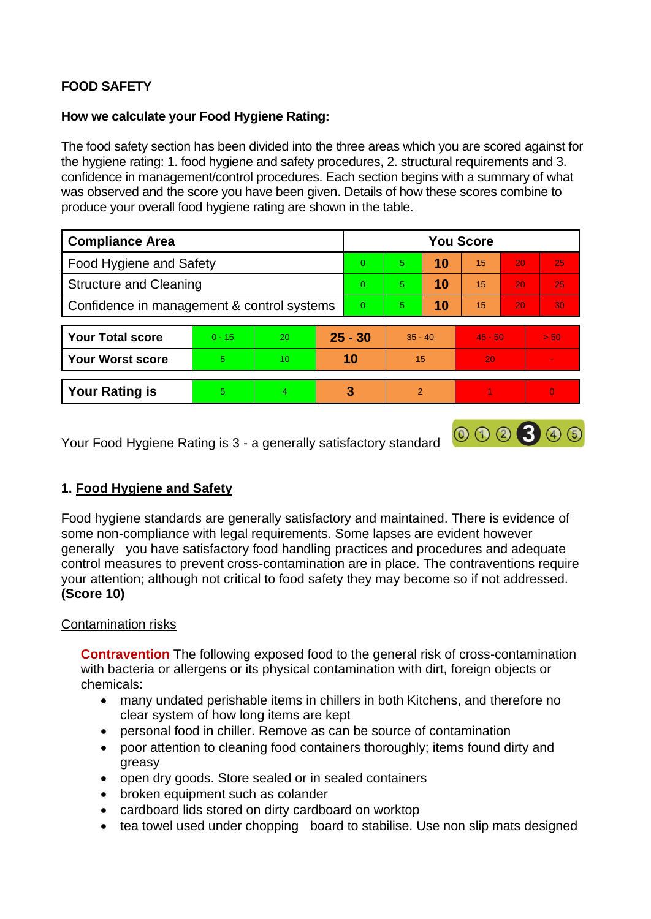# **FOOD SAFETY**

## **How we calculate your Food Hygiene Rating:**

The food safety section has been divided into the three areas which you are scored against for the hygiene rating: 1. food hygiene and safety procedures, 2. structural requirements and 3. confidence in management/control procedures. Each section begins with a summary of what was observed and the score you have been given. Details of how these scores combine to produce your overall food hygiene rating are shown in the table.

| <b>Compliance Area</b>                     |          |                |           | <b>You Score</b> |                |    |           |    |                 |  |
|--------------------------------------------|----------|----------------|-----------|------------------|----------------|----|-----------|----|-----------------|--|
| <b>Food Hygiene and Safety</b>             |          |                |           | $\Omega$         | $\overline{5}$ | 10 | 15        | 20 | 25              |  |
| <b>Structure and Cleaning</b>              |          |                |           | $\Omega$         | 5              | 10 | 15        | 20 | 25              |  |
| Confidence in management & control systems |          |                |           | $\overline{0}$   | 5.             | 10 | 15        | 20 | 30 <sub>1</sub> |  |
| <b>Your Total score</b>                    | $0 - 15$ | 20             | $25 - 30$ |                  | $35 - 40$      |    | $45 - 50$ |    | > 50            |  |
| <b>Your Worst score</b>                    | 5        | 10             | 10        |                  | 15             |    | 20        |    | $\sim$          |  |
| <b>Your Rating is</b>                      | 5        | $\overline{4}$ |           | 3                | 2              |    |           |    | $\overline{0}$  |  |

000300

Your Food Hygiene Rating is 3 - a generally satisfactory standard

# **1. Food Hygiene and Safety**

Food hygiene standards are generally satisfactory and maintained. There is evidence of some non-compliance with legal requirements. Some lapses are evident however generally you have satisfactory food handling practices and procedures and adequate control measures to prevent cross-contamination are in place. The contraventions require your attention; although not critical to food safety they may become so if not addressed. **(Score 10)**

# Contamination risks

**Contravention** The following exposed food to the general risk of cross-contamination with bacteria or allergens or its physical contamination with dirt, foreign objects or chemicals:

- many undated perishable items in chillers in both Kitchens, and therefore no clear system of how long items are kept
- personal food in chiller. Remove as can be source of contamination
- poor attention to cleaning food containers thoroughly; items found dirty and greasy
- open dry goods. Store sealed or in sealed containers
- broken equipment such as colander
- cardboard lids stored on dirty cardboard on worktop
- tea towel used under chopping board to stabilise. Use non slip mats designed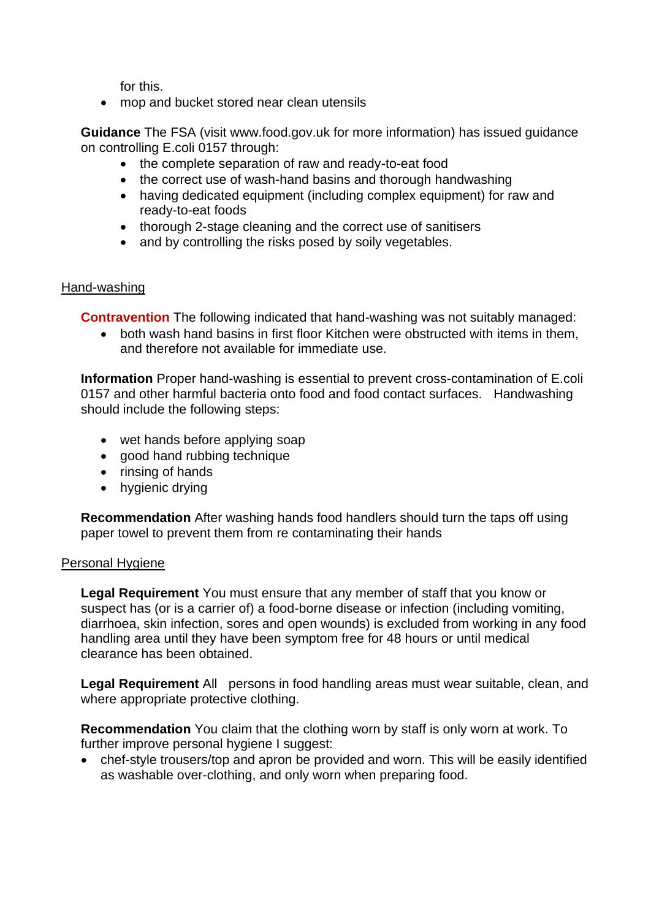for this.

• mop and bucket stored near clean utensils

**Guidance** The FSA (visit www.food.gov.uk for more information) has issued guidance on controlling E.coli 0157 through:

- the complete separation of raw and ready-to-eat food
- the correct use of wash-hand basins and thorough handwashing
- having dedicated equipment (including complex equipment) for raw and ready-to-eat foods
- thorough 2-stage cleaning and the correct use of sanitisers
- and by controlling the risks posed by soily vegetables.

### Hand-washing

**Contravention** The following indicated that hand-washing was not suitably managed:

• both wash hand basins in first floor Kitchen were obstructed with items in them, and therefore not available for immediate use.

**Information** Proper hand-washing is essential to prevent cross-contamination of E.coli 0157 and other harmful bacteria onto food and food contact surfaces. Handwashing should include the following steps:

- wet hands before applying soap
- good hand rubbing technique
- rinsing of hands
- hygienic drying

**Recommendation** After washing hands food handlers should turn the taps off using paper towel to prevent them from re contaminating their hands

#### Personal Hygiene

**Legal Requirement** You must ensure that any member of staff that you know or suspect has (or is a carrier of) a food-borne disease or infection (including vomiting, diarrhoea, skin infection, sores and open wounds) is excluded from working in any food handling area until they have been symptom free for 48 hours or until medical clearance has been obtained.

**Legal Requirement** All persons in food handling areas must wear suitable, clean, and where appropriate protective clothing.

**Recommendation** You claim that the clothing worn by staff is only worn at work. To further improve personal hygiene I suggest:

• chef-style trousers/top and apron be provided and worn. This will be easily identified as washable over-clothing, and only worn when preparing food.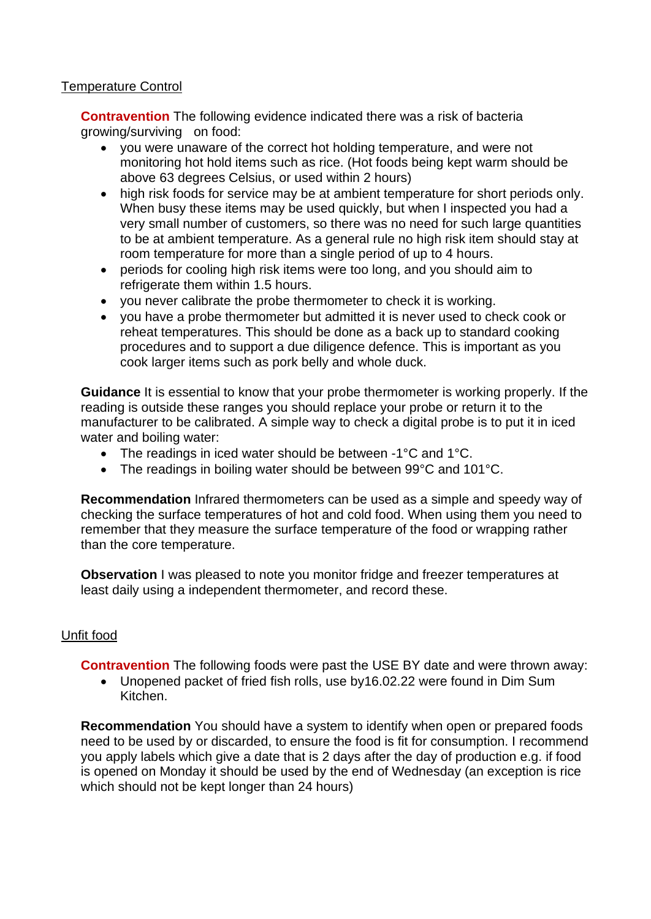## Temperature Control

**Contravention** The following evidence indicated there was a risk of bacteria growing/surviving on food:

- you were unaware of the correct hot holding temperature, and were not monitoring hot hold items such as rice. (Hot foods being kept warm should be above 63 degrees Celsius, or used within 2 hours)
- high risk foods for service may be at ambient temperature for short periods only. When busy these items may be used quickly, but when I inspected you had a very small number of customers, so there was no need for such large quantities to be at ambient temperature. As a general rule no high risk item should stay at room temperature for more than a single period of up to 4 hours.
- periods for cooling high risk items were too long, and you should aim to refrigerate them within 1.5 hours.
- you never calibrate the probe thermometer to check it is working.
- you have a probe thermometer but admitted it is never used to check cook or reheat temperatures. This should be done as a back up to standard cooking procedures and to support a due diligence defence. This is important as you cook larger items such as pork belly and whole duck.

**Guidance** It is essential to know that your probe thermometer is working properly. If the reading is outside these ranges you should replace your probe or return it to the manufacturer to be calibrated. A simple way to check a digital probe is to put it in iced water and boiling water:

- The readings in iced water should be between -1°C and 1°C.
- The readings in boiling water should be between 99°C and 101°C.

**Recommendation** Infrared thermometers can be used as a simple and speedy way of checking the surface temperatures of hot and cold food. When using them you need to remember that they measure the surface temperature of the food or wrapping rather than the core temperature.

**Observation** I was pleased to note you monitor fridge and freezer temperatures at least daily using a independent thermometer, and record these.

# Unfit food

**Contravention** The following foods were past the USE BY date and were thrown away:

• Unopened packet of fried fish rolls, use by16.02.22 were found in Dim Sum Kitchen.

**Recommendation** You should have a system to identify when open or prepared foods need to be used by or discarded, to ensure the food is fit for consumption. I recommend you apply labels which give a date that is 2 days after the day of production e.g. if food is opened on Monday it should be used by the end of Wednesday (an exception is rice which should not be kept longer than 24 hours)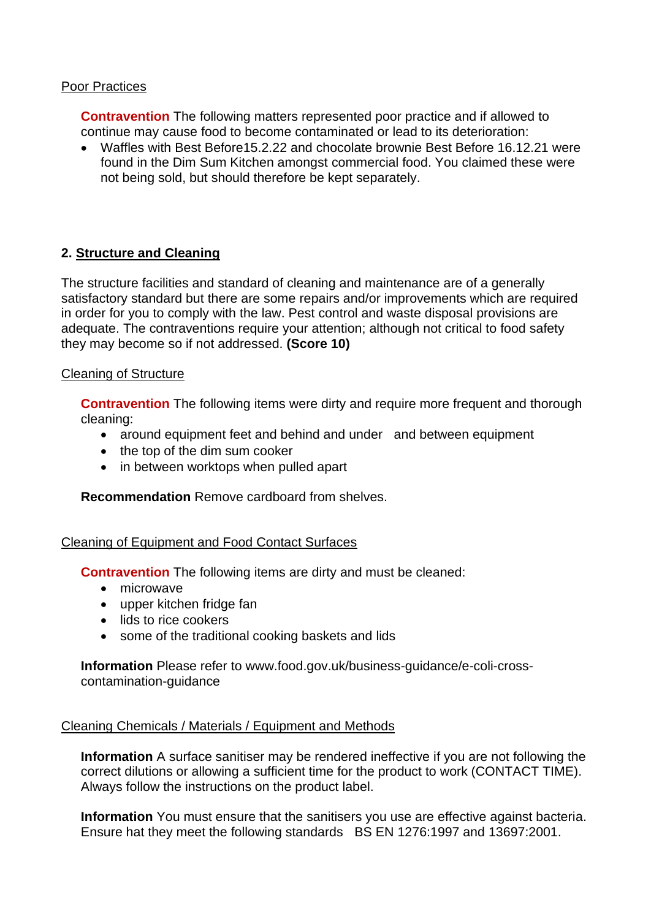#### Poor Practices

**Contravention** The following matters represented poor practice and if allowed to continue may cause food to become contaminated or lead to its deterioration:

• Waffles with Best Before15.2.22 and chocolate brownie Best Before 16.12.21 were found in the Dim Sum Kitchen amongst commercial food. You claimed these were not being sold, but should therefore be kept separately.

## **2. Structure and Cleaning**

The structure facilities and standard of cleaning and maintenance are of a generally satisfactory standard but there are some repairs and/or improvements which are required in order for you to comply with the law. Pest control and waste disposal provisions are adequate. The contraventions require your attention; although not critical to food safety they may become so if not addressed. **(Score 10)**

#### Cleaning of Structure

**Contravention** The following items were dirty and require more frequent and thorough cleaning:

- around equipment feet and behind and under and between equipment
- the top of the dim sum cooker
- in between worktops when pulled apart

**Recommendation** Remove cardboard from shelves.

#### Cleaning of Equipment and Food Contact Surfaces

**Contravention** The following items are dirty and must be cleaned:

- microwave
- upper kitchen fridge fan
- lids to rice cookers
- some of the traditional cooking baskets and lids

**Information** Please refer to www.food.gov.uk/business-guidance/e-coli-crosscontamination-guidance

### Cleaning Chemicals / Materials / Equipment and Methods

**Information** A surface sanitiser may be rendered ineffective if you are not following the correct dilutions or allowing a sufficient time for the product to work (CONTACT TIME). Always follow the instructions on the product label.

**Information** You must ensure that the sanitisers you use are effective against bacteria. Ensure hat they meet the following standards BS EN 1276:1997 and 13697:2001.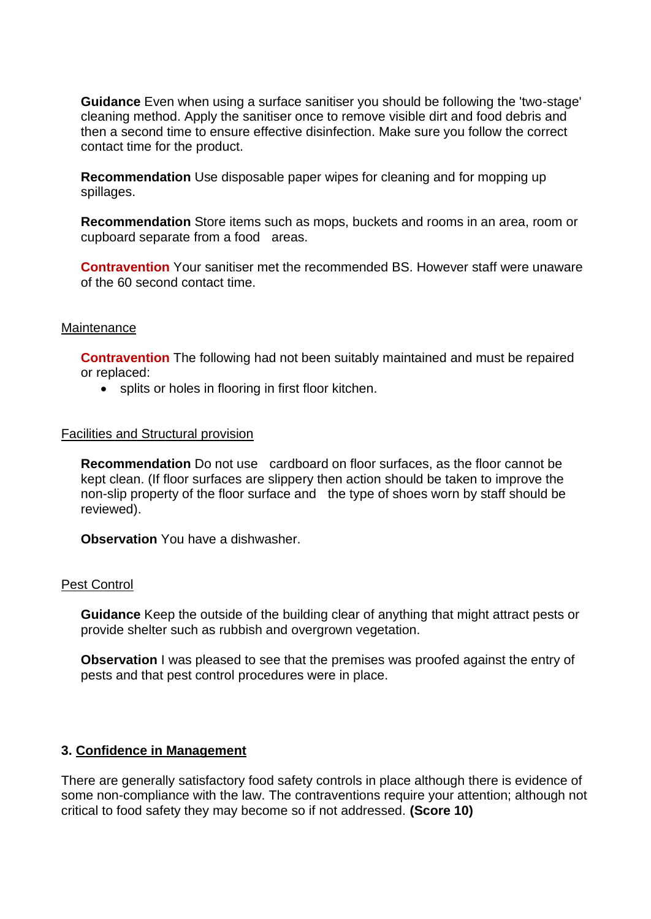**Guidance** Even when using a surface sanitiser you should be following the 'two-stage' cleaning method. Apply the sanitiser once to remove visible dirt and food debris and then a second time to ensure effective disinfection. Make sure you follow the correct contact time for the product.

**Recommendation** Use disposable paper wipes for cleaning and for mopping up spillages.

**Recommendation** Store items such as mops, buckets and rooms in an area, room or cupboard separate from a food areas.

**Contravention** Your sanitiser met the recommended BS. However staff were unaware of the 60 second contact time.

#### **Maintenance**

**Contravention** The following had not been suitably maintained and must be repaired or replaced:

• splits or holes in flooring in first floor kitchen.

#### Facilities and Structural provision

**Recommendation** Do not use cardboard on floor surfaces, as the floor cannot be kept clean. (If floor surfaces are slippery then action should be taken to improve the non-slip property of the floor surface and the type of shoes worn by staff should be reviewed).

**Observation** You have a dishwasher.

#### Pest Control

**Guidance** Keep the outside of the building clear of anything that might attract pests or provide shelter such as rubbish and overgrown vegetation.

**Observation** I was pleased to see that the premises was proofed against the entry of pests and that pest control procedures were in place.

#### **3. Confidence in Management**

There are generally satisfactory food safety controls in place although there is evidence of some non-compliance with the law. The contraventions require your attention; although not critical to food safety they may become so if not addressed. **(Score 10)**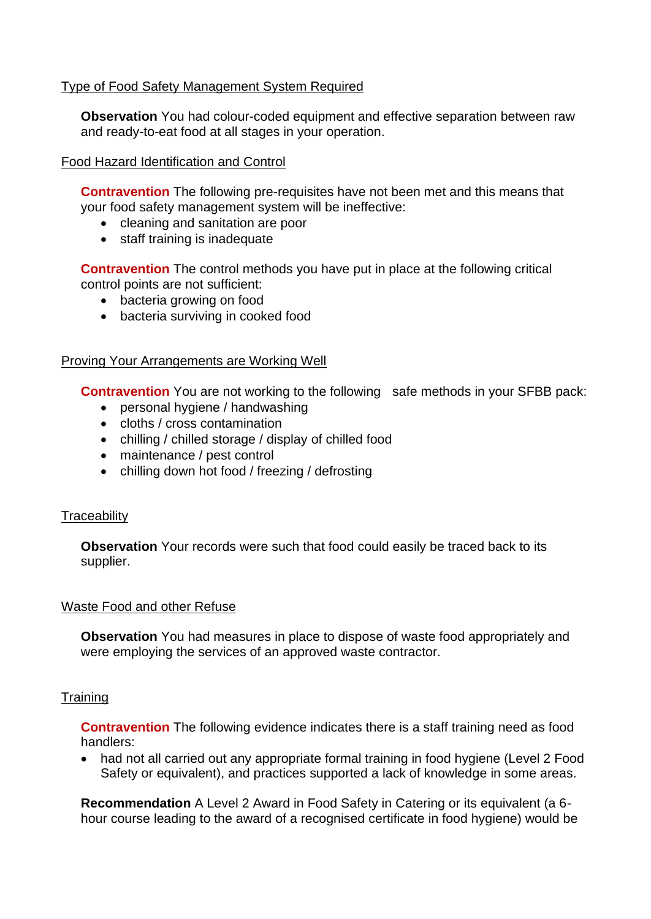## Type of Food Safety Management System Required

**Observation** You had colour-coded equipment and effective separation between raw and ready-to-eat food at all stages in your operation.

## Food Hazard Identification and Control

**Contravention** The following pre-requisites have not been met and this means that your food safety management system will be ineffective:

- cleaning and sanitation are poor
- staff training is inadequate

**Contravention** The control methods you have put in place at the following critical control points are not sufficient:

- bacteria growing on food
- bacteria surviving in cooked food

### Proving Your Arrangements are Working Well

**Contravention** You are not working to the following safe methods in your SFBB pack:

- personal hygiene / handwashing
- cloths / cross contamination
- chilling / chilled storage / display of chilled food
- maintenance / pest control
- chilling down hot food / freezing / defrosting

### **Traceability**

**Observation** Your records were such that food could easily be traced back to its supplier.

### Waste Food and other Refuse

**Observation** You had measures in place to dispose of waste food appropriately and were employing the services of an approved waste contractor.

### **Training**

**Contravention** The following evidence indicates there is a staff training need as food handlers:

• had not all carried out any appropriate formal training in food hygiene (Level 2 Food Safety or equivalent), and practices supported a lack of knowledge in some areas.

**Recommendation** A Level 2 Award in Food Safety in Catering or its equivalent (a 6 hour course leading to the award of a recognised certificate in food hygiene) would be